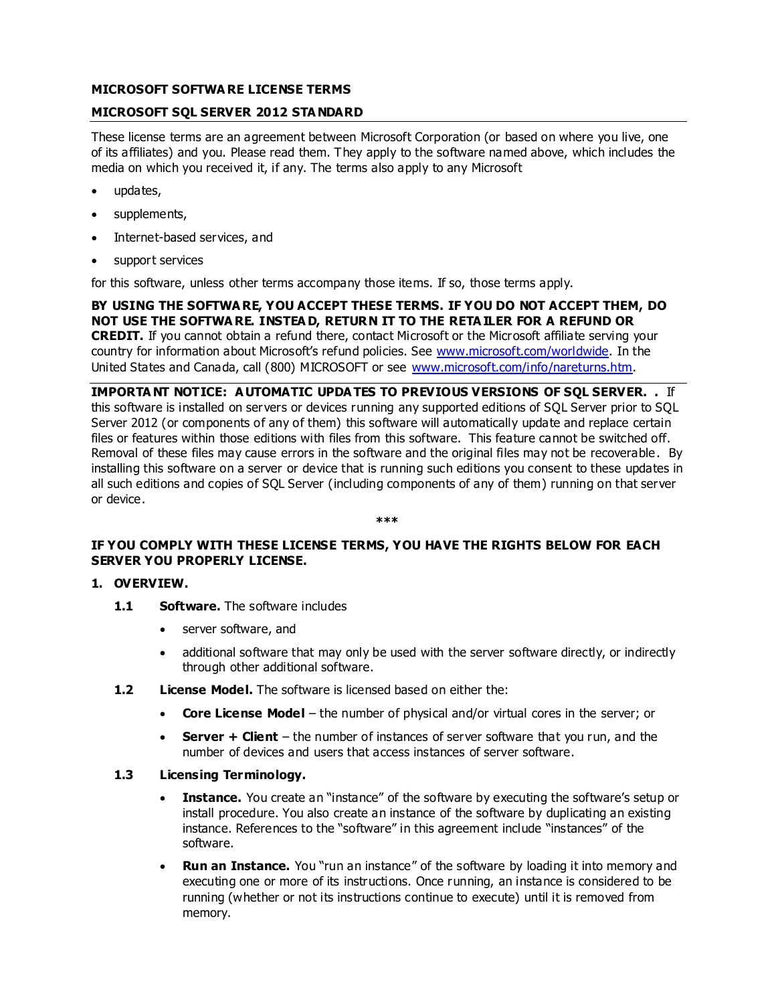# **MICROSOFT SOFTWA RE LICENSE TERMS**

## **MICROSOFT SQL SERVER 2012 STA NDARD**

These license terms are an agreement between Microsoft Corporation (or based on where you live, one of its affiliates) and you. Please read them. They apply to the software named above, which includes the media on which you received it, if any. The terms also apply to any Microsoft

- updates,
- supplements,
- Internet-based services, and
- support services

for this software, unless other terms accompany those items. If so, those terms apply.

**BY USING THE SOFTWA RE, YOU ACCEPT THESE TERMS. IF YOU DO NOT ACCEPT THEM, DO NOT USE THE SOFTWA RE. INSTEA D, RETURN IT TO THE RETA ILER FOR A REFUND OR CREDIT.** If you cannot obtain a refund there, contact Microsoft or the Microsoft affiliate serving your country for information about Microsoft's refund policies. See www.microsoft.com/worldwide. In the United States and Canada, call (800) MICROSOFT or see [www.microsoft.com/info/nareturns.htm.](http://www.microsoft.com/info/nareturns.htm)

**IMPORTA NT NOTICE: A UTOMATIC UPDA TES TO PREVIOUS VERSIONS OF SQL SERVER. .** If this software is installed on servers or devices running any supported editions of SQL Server prior to SQL Server 2012 (or components of any of them) this software will automatically update and replace certain files or features within those editions with files from this software. This feature cannot be switched off. Removal of these files may cause errors in the software and the original files may not be recoverable. By installing this software on a server or device that is running such editions you consent to these updates in all such editions and copies of SQL Server (including components of any of them) running on that server or device.

#### **\*\*\***

# **IF YOU COMPLY WITH THESE LICENSE TERMS, YOU HAVE THE RIGHTS BELOW FOR EACH SERVER YOU PROPERLY LICENSE.**

#### **1. OVERVIEW.**

- **1.1 Software.** The software includes
	- server software, and
	- additional software that may only be used with the server software directly, or indirectly through other additional software.
- **1.2 License Model.** The software is licensed based on either the:
	- **Core License Model** the number of physical and/or virtual cores in the server; or
	- **Server + Client**  the number of instances of server software that you run, and the number of devices and users that access instances of server software.

# **1.3 Licensing Terminology.**

- **Instance.** You create an "instance" of the software by executing the software's setup or install procedure. You also create an instance of the software by duplicating an existing instance. References to the "software" in this agreement include "instances" of the software.
- **Run an Instance.** You "run an instance" of the software by loading it into memory and executing one or more of its instructions. Once running, an instance is considered to be running (whether or not its instructions continue to execute) until it is removed from memory.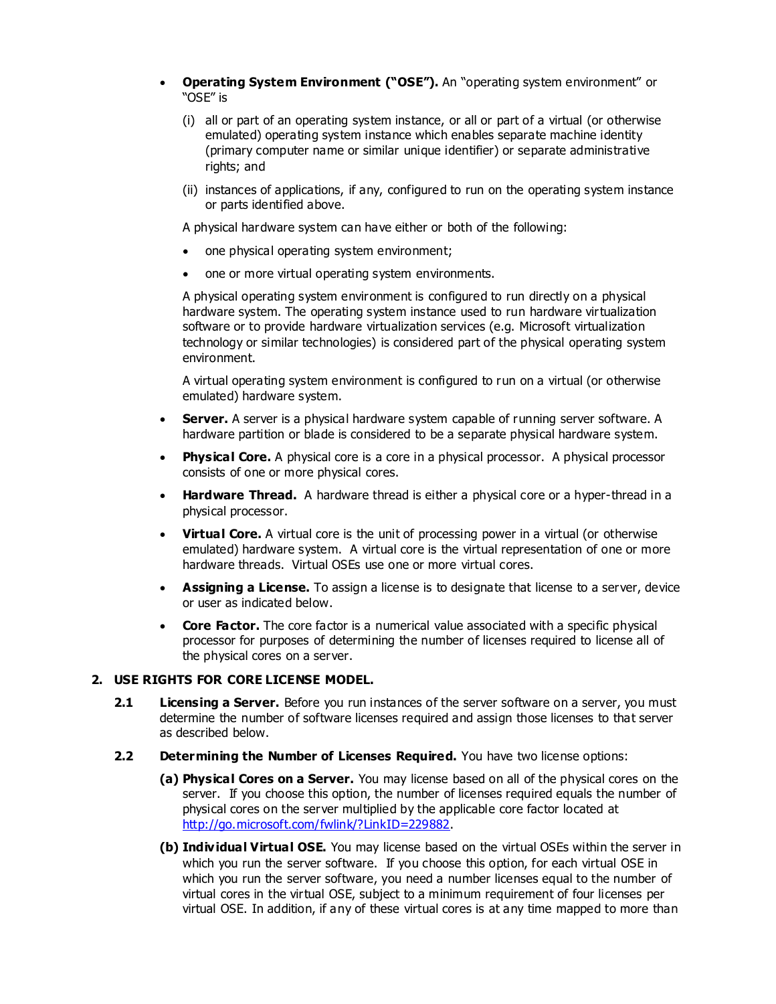- **Operating System Environment ("OSE").** An "operating system environment" or "OSE" is
	- (i) all or part of an operating system instance, or all or part of a virtual (or otherwise emulated) operating system instance which enables separate machine identity (primary computer name or similar unique identifier) or separate administrative rights; and
	- (ii) instances of applications, if any, configured to run on the operating system instance or parts identified above.

A physical hardware system can have either or both of the following:

- one physical operating system environment;
- one or more virtual operating system environments.

A physical operating system environment is configured to run directly on a physical hardware system. The operating system instance used to run hardware virtualization software or to provide hardware virtualization services (e.g. Microsoft virtualization technology or similar technologies) is considered part of the physical operating system environment.

A virtual operating system environment is configured to run on a virtual (or otherwise emulated) hardware system.

- **Server.** A server is a physical hardware system capable of running server software. A hardware partition or blade is considered to be a separate physical hardware system.
- **Physical Core.** A physical core is a core in a physical processor. A physical processor consists of one or more physical cores.
- **Hardware Thread.** A hardware thread is either a physical core or a hyper-thread in a physical processor.
- **Virtual Core.** A virtual core is the unit of processing power in a virtual (or otherwise emulated) hardware system. A virtual core is the virtual representation of one or more hardware threads. Virtual OSEs use one or more virtual cores.
- **Assigning a License.** To assign a license is to designate that license to a server, device or user as indicated below.
- **Core Factor.** The core factor is a numerical value associated with a specific physical processor for purposes of determining the number of licenses required to license all of the physical cores on a server.

# **2. USE RIGHTS FOR CORE LICENSE MODEL.**

- **2.1 Licensing a Server.** Before you run instances of the server software on a server, you must determine the number of software licenses required and assign those licenses to that server as described below.
- **2.2 Determining the Number of Licenses Required.** You have two license options:
	- **(a) Physical Cores on a Server.** You may license based on all of the physical cores on the server. If you choose this option, the number of licenses required equals the number of physical cores on the server multiplied by the applicable core factor located at [http://go.microsoft.com/fwlink/?LinkID=229882.](http://go.microsoft.com/fwlink/?LinkID=229882)
	- **(b) Individual Virtual OSE.** You may license based on the virtual OSEs within the server in which you run the server software. If you choose this option, for each virtual OSE in which you run the server software, you need a number licenses equal to the number of virtual cores in the virtual OSE, subject to a minimum requirement of four licenses per virtual OSE. In addition, if any of these virtual cores is at any time mapped to more than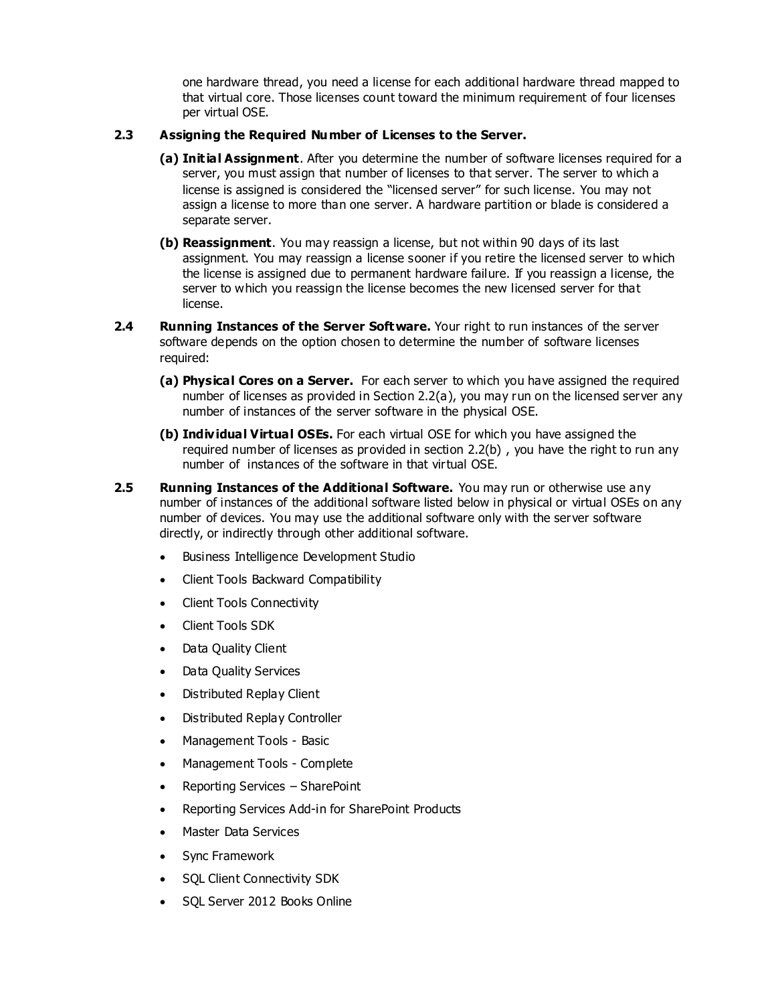one hardware thread, you need a license for each additional hardware thread mapped to that virtual core. Those licenses count toward the minimum requirement of four licenses per virtual OSE.

## **2.3 Assigning the Required Number of Licenses to the Server.**

- **(a) Initial Assignment**. After you determine the number of software licenses required for a server, you must assign that number of licenses to that server. The server to which a license is assigned is considered the "licensed server" for such license. You may not assign a license to more than one server. A hardware partition or blade is considered a separate server.
- **(b) Reassignment**. You may reassign a license, but not within 90 days of its last assignment. You may reassign a license sooner if you retire the licensed server to which the license is assigned due to permanent hardware failure. If you reassign a license, the server to which you reassign the license becomes the new licensed server for that license.
- **2.4 Running Instances of the Server Software.** Your right to run instances of the server software depends on the option chosen to determine the number of software licenses required:
	- **(a) Physical Cores on a Server.** For each server to which you have assigned the required number of licenses as provided in Section 2.2(a), you may run on the licensed server any number of instances of the server software in the physical OSE.
	- **(b) Individual Virtual OSEs.** For each virtual OSE for which you have assigned the required number of licenses as provided in section 2.2(b) , you have the right to run any number of instances of the software in that virtual OSE.
- **2.5 Running Instances of the Additional Software.** You may run or otherwise use any number of instances of the additional software listed below in physical or virtual OSEs on any number of devices. You may use the additional software only with the server software directly, or indirectly through other additional software.
	- Business Intelligence Development Studio
	- Client Tools Backward Compatibility
	- Client Tools Connectivity
	- Client Tools SDK
	- Data Quality Client
	- Data Quality Services
	- Distributed Replay Client
	- Distributed Replay Controller
	- Management Tools Basic
	- Management Tools Complete
	- Reporting Services SharePoint
	- Reporting Services Add-in for SharePoint Products
	- Master Data Services
	- Sync Framework
	- SQL Client Connectivity SDK
	- SQL Server 2012 Books Online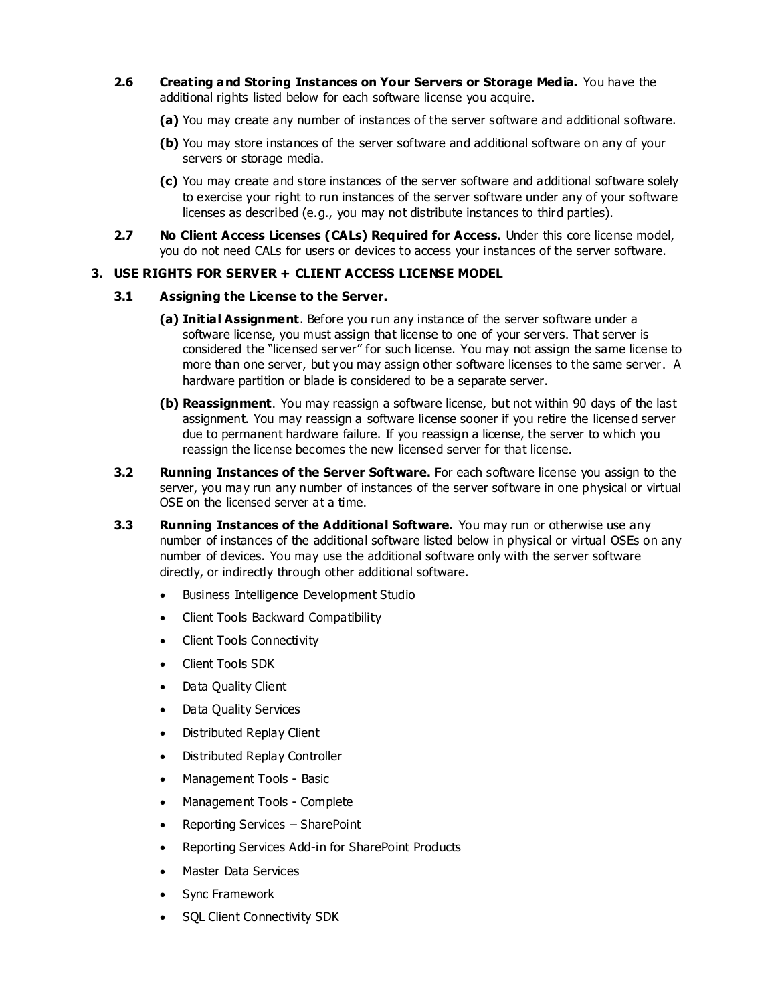- **2.6 Creating and Storing Instances on Your Servers or Storage Media.** You have the additional rights listed below for each software license you acquire.
	- **(a)** You may create any number of instances of the server software and additional software.
	- **(b)** You may store instances of the server software and additional software on any of your servers or storage media.
	- **(c)** You may create and store instances of the server software and additional software solely to exercise your right to run instances of the server software under any of your software licenses as described (e.g., you may not distribute instances to third parties).
- **2.7 No Client Access Licenses (CALs) Required for Access.** Under this core license model, you do not need CALs for users or devices to access your instances of the server software.

# **3. USE RIGHTS FOR SERVER + CLIENT ACCESS LICENSE MODEL**

## **3.1 Assigning the License to the Server.**

- **(a) Initial Assignment**. Before you run any instance of the server software under a software license, you must assign that license to one of your servers. That server is considered the "licensed server" for such license. You may not assign the same license to more than one server, but you may assign other software licenses to the same server. A hardware partition or blade is considered to be a separate server.
- **(b) Reassignment**. You may reassign a software license, but not within 90 days of the last assignment. You may reassign a software license sooner if you retire the licensed server due to permanent hardware failure. If you reassign a license, the server to which you reassign the license becomes the new licensed server for that license.
- **3.2 Running Instances of the Server Software.** For each software license you assign to the server, you may run any number of instances of the server software in one physical or virtual OSE on the licensed server at a time.
- **3.3 Running Instances of the Additional Software.** You may run or otherwise use any number of instances of the additional software listed below in physical or virtual OSEs on any number of devices. You may use the additional software only with the server software directly, or indirectly through other additional software.
	- Business Intelligence Development Studio
	- Client Tools Backward Compatibility
	- Client Tools Connectivity
	- Client Tools SDK
	- Data Quality Client
	- Data Quality Services
	- Distributed Replay Client
	- Distributed Replay Controller
	- Management Tools Basic
	- Management Tools Complete
	- Reporting Services SharePoint
	- Reporting Services Add-in for SharePoint Products
	- Master Data Services
	- Sync Framework
	- SQL Client Connectivity SDK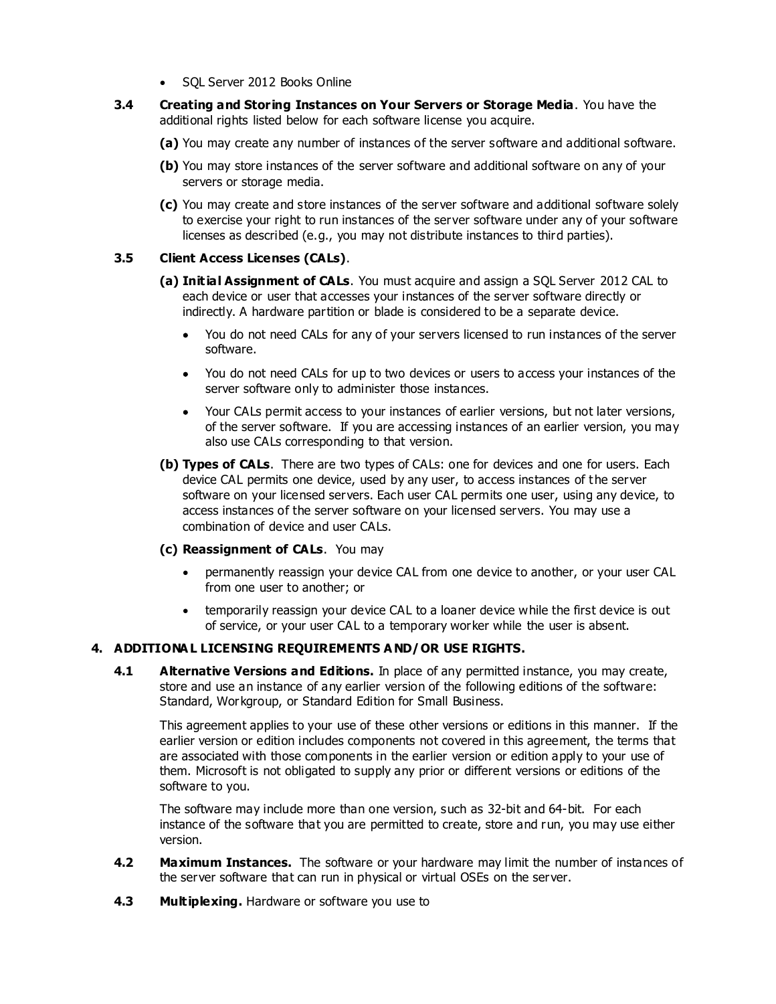- SQL Server 2012 Books Online
- **3.4 Creating and Storing Instances on Your Servers or Storage Media**. You have the additional rights listed below for each software license you acquire.
	- **(a)** You may create any number of instances of the server software and additional software.
	- **(b)** You may store instances of the server software and additional software on any of your servers or storage media.
	- **(c)** You may create and store instances of the server software and additional software solely to exercise your right to run instances of the server software under any of your software licenses as described (e.g., you may not distribute instances to third parties).

## **3.5 Client Access Licenses (CALs)**.

- **(a) Initial Assignment of CALs**. You must acquire and assign a SQL Server 2012 CAL to each device or user that accesses your instances of the server software directly or indirectly. A hardware partition or blade is considered to be a separate device.
	- You do not need CALs for any of your servers licensed to run instances of the server software.
	- You do not need CALs for up to two devices or users to access your instances of the server software only to administer those instances.
	- Your CALs permit access to your instances of earlier versions, but not later versions, of the server software. If you are accessing instances of an earlier version, you may also use CALs corresponding to that version.
- **(b) Types of CALs**. There are two types of CALs: one for devices and one for users. Each device CAL permits one device, used by any user, to access instances of the server software on your licensed servers. Each user CAL permits one user, using any device, to access instances of the server software on your licensed servers. You may use a combination of device and user CALs.

#### **(c) Reassignment of CALs**. You may

- permanently reassign your device CAL from one device to another, or your user CAL from one user to another; or
- temporarily reassign your device CAL to a loaner device while the first device is out of service, or your user CAL to a temporary worker while the user is absent.

# **4. ADDITIONA L LICENSING REQUIREMENTS A ND/OR USE RIGHTS.**

**4.1 Alternative Versions and Editions.** In place of any permitted instance, you may create, store and use an instance of any earlier version of the following editions of the software: Standard, Workgroup, or Standard Edition for Small Business.

This agreement applies to your use of these other versions or editions in this manner. If the earlier version or edition includes components not covered in this agreement, the terms that are associated with those components in the earlier version or edition apply to your use of them. Microsoft is not obligated to supply any prior or different versions or editions of the software to you.

The software may include more than one version, such as 32-bit and 64-bit. For each instance of the software that you are permitted to create, store and run, you may use either version.

- **4.2 Maximum Instances.** The software or your hardware may limit the number of instances of the server software that can run in physical or virtual OSEs on the server.
- **4.3 Multiplexing.** Hardware or software you use to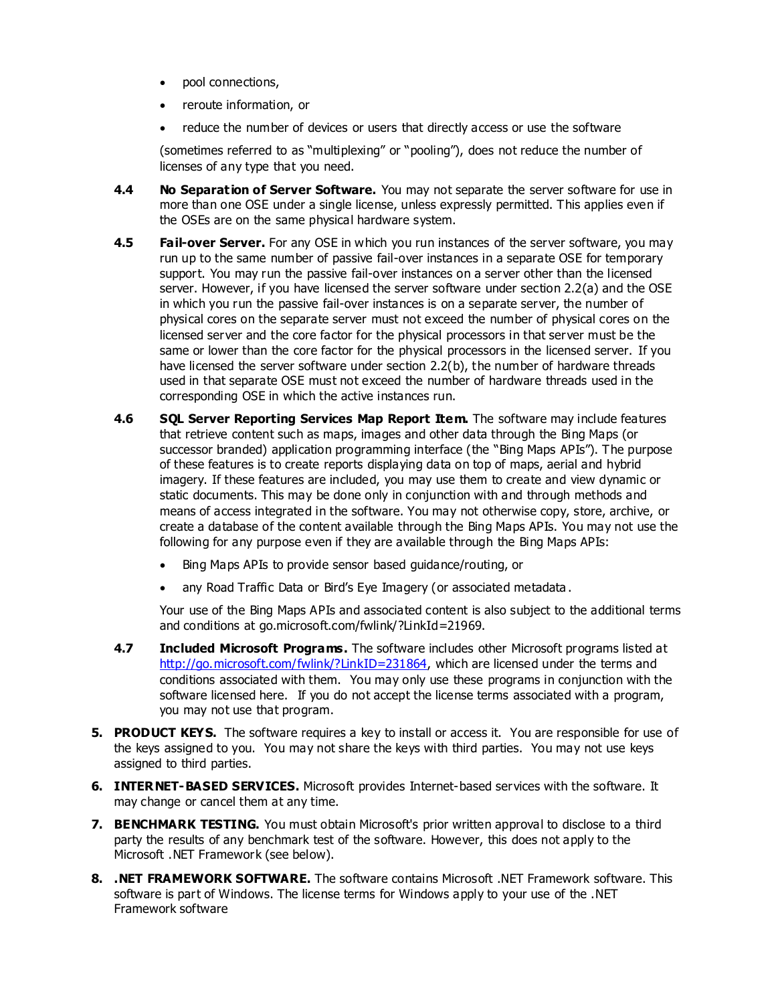- pool connections,
- reroute information, or
- reduce the number of devices or users that directly access or use the software

(sometimes referred to as "multiplexing" or "pooling"), does not reduce the number of licenses of any type that you need.

- **4.4 No Separation of Server Software.** You may not separate the server software for use in more than one OSE under a single license, unless expressly permitted. This applies even if the OSEs are on the same physical hardware system.
- **4.5 Fail-over Server.** For any OSE in which you run instances of the server software, you may run up to the same number of passive fail-over instances in a separate OSE for temporary support. You may run the passive fail-over instances on a server other than the licensed server. However, if you have licensed the server software under section 2.2(a) and the OSE in which you run the passive fail-over instances is on a separate server, the number of physical cores on the separate server must not exceed the number of physical cores on the licensed server and the core factor for the physical processors in that server must be the same or lower than the core factor for the physical processors in the licensed server. If you have licensed the server software under section 2.2(b), the number of hardware threads used in that separate OSE must not exceed the number of hardware threads used in the corresponding OSE in which the active instances run.
- **4.6 SQL Server Reporting Services Map Report Item.** The software may include features that retrieve content such as maps, images and other data through the Bing Maps (or successor branded) application programming interface (the "Bing Maps APIs"). The purpose of these features is to create reports displaying data on top of maps, aerial and hybrid imagery. If these features are included, you may use them to create and view dynamic or static documents. This may be done only in conjunction with and through methods and means of access integrated in the software. You may not otherwise copy, store, archive, or create a database of the content available through the Bing Maps APIs. You may not use the following for any purpose even if they are available through the Bing Maps APIs:
	- Bing Maps APIs to provide sensor based guidance/routing, or
	- any Road Traffic Data or Bird's Eye Imagery (or associated metadata .

Your use of the Bing Maps APIs and associated content is also subject to the additional terms and conditions at go.microsoft.com/fwlink/?LinkId=21969.

- **4.7 Included Microsoft Programs.** The software includes other Microsoft programs listed at [http://go.microsoft.com/fwlink/?LinkID=231864,](http://go.microsoft.com/fwlink/?LinkID=231864) which are licensed under the terms and conditions associated with them. You may only use these programs in conjunction with the software licensed here. If you do not accept the license terms associated with a program, you may not use that program.
- **5. PRODUCT KEYS.** The software requires a key to install or access it. You are responsible for use of the keys assigned to you. You may not share the keys with third parties. You may not use keys assigned to third parties.
- **6. INTERNET-BASED SERVICES.** Microsoft provides Internet-based services with the software. It may change or cancel them at any time.
- **7. BENCHMARK TESTING.** You must obtain Microsoft's prior written approval to disclose to a third party the results of any benchmark test of the software. However, this does not apply to the Microsoft .NET Framework (see below).
- **8. .NET FRAMEWORK SOFTWARE.** The software contains Microsoft .NET Framework software. This software is part of Windows. The license terms for Windows apply to your use of the .NET Framework software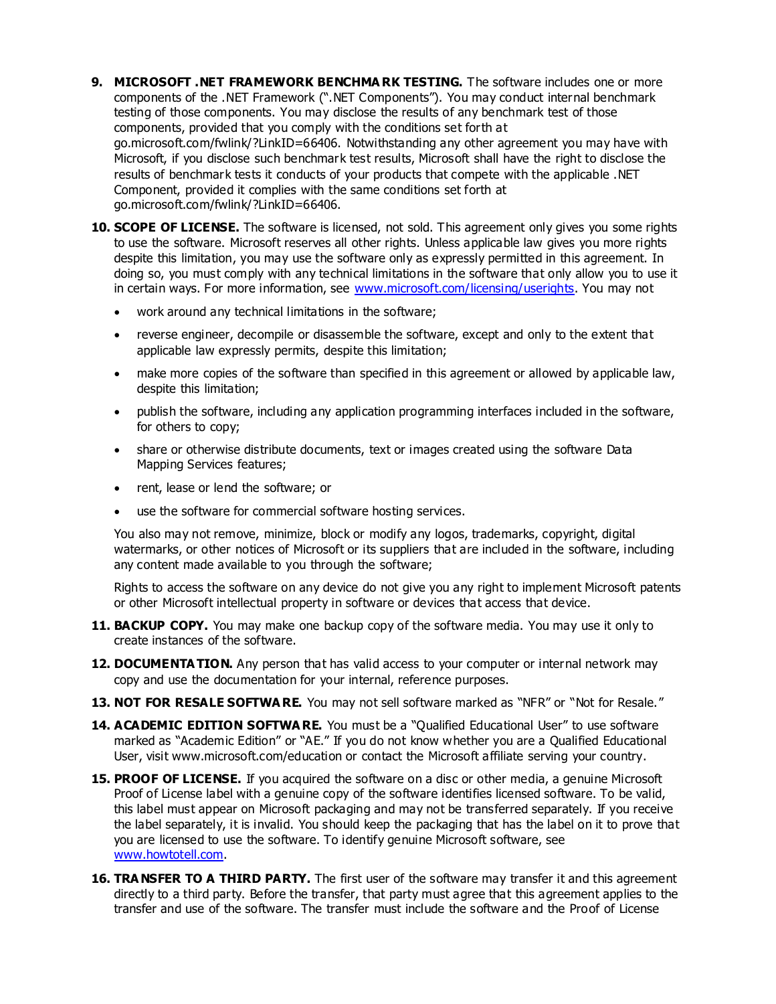- **9. MICROSOFT .NET FRAMEWORK BENCHMA RK TESTING.** The software includes one or more components of the .NET Framework (".NET Components"). You may conduct internal benchmark testing of those components. You may disclose the results of any benchmark test of those components, provided that you comply with the conditions set forth at go.microsoft.com/fwlink/?LinkID=66406. Notwithstanding any other agreement you may have with Microsoft, if you disclose such benchmark test results, Microsoft shall have the right to disclose the results of benchmark tests it conducts of your products that compete with the applicable .NET Component, provided it complies with the same conditions set forth at go.microsoft.com/fwlink/?LinkID=66406.
- **10. SCOPE OF LICENSE.** The software is licensed, not sold. This agreement only gives you some rights to use the software. Microsoft reserves all other rights. Unless applicable law gives you more rights despite this limitation, you may use the software only as expressly permitted in this agreement. In doing so, you must comply with any technical limitations in the software that only allow you to use it in certain ways. For more information, see www.microsoft.com/licensing/userights. You may not
	- work around any technical limitations in the software;
	- reverse engineer, decompile or disassemble the software, except and only to the extent that applicable law expressly permits, despite this limitation;
	- make more copies of the software than specified in this agreement or allowed by applicable law, despite this limitation;
	- publish the software, including any application programming interfaces included in the software, for others to copy;
	- share or otherwise distribute documents, text or images created using the software Data Mapping Services features;
	- rent, lease or lend the software; or
	- use the software for commercial software hosting services.

You also may not remove, minimize, block or modify any logos, trademarks, copyright, digital watermarks, or other notices of Microsoft or its suppliers that are included in the software, including any content made available to you through the software;

Rights to access the software on any device do not give you any right to implement Microsoft patents or other Microsoft intellectual property in software or devices that access that device.

- **11. BACKUP COPY.** You may make one backup copy of the software media. You may use it only to create instances of the software.
- **12. DOCUMENTA TION.** Any person that has valid access to your computer or internal network may copy and use the documentation for your internal, reference purposes.
- **13. NOT FOR RESALE SOFTWA RE.** You may not sell software marked as "NFR" or "Not for Resale."
- 14. ACADEMIC EDITION SOFTWA RE. You must be a "Qualified Educational User" to use software marked as "Academic Edition" or "AE." If you do not know whether you are a Qualified Educational User, visit www.microsoft.com/education or contact the Microsoft affiliate serving your country.
- **15. PROOF OF LICENSE.** If you acquired the software on a disc or other media, a genuine Microsoft Proof of License label with a genuine copy of the software identifies licensed software. To be valid, this label must appear on Microsoft packaging and may not be transferred separately. If you receive the label separately, it is invalid. You should keep the packaging that has the label on it to prove that you are licensed to use the software. To identify genuine Microsoft software, see www.howtotell.com.
- 16. TRA NSFER TO A THIRD PARTY. The first user of the software may transfer it and this agreement directly to a third party. Before the transfer, that party must agree that this agreement applies to the transfer and use of the software. The transfer must include the software and the Proof of License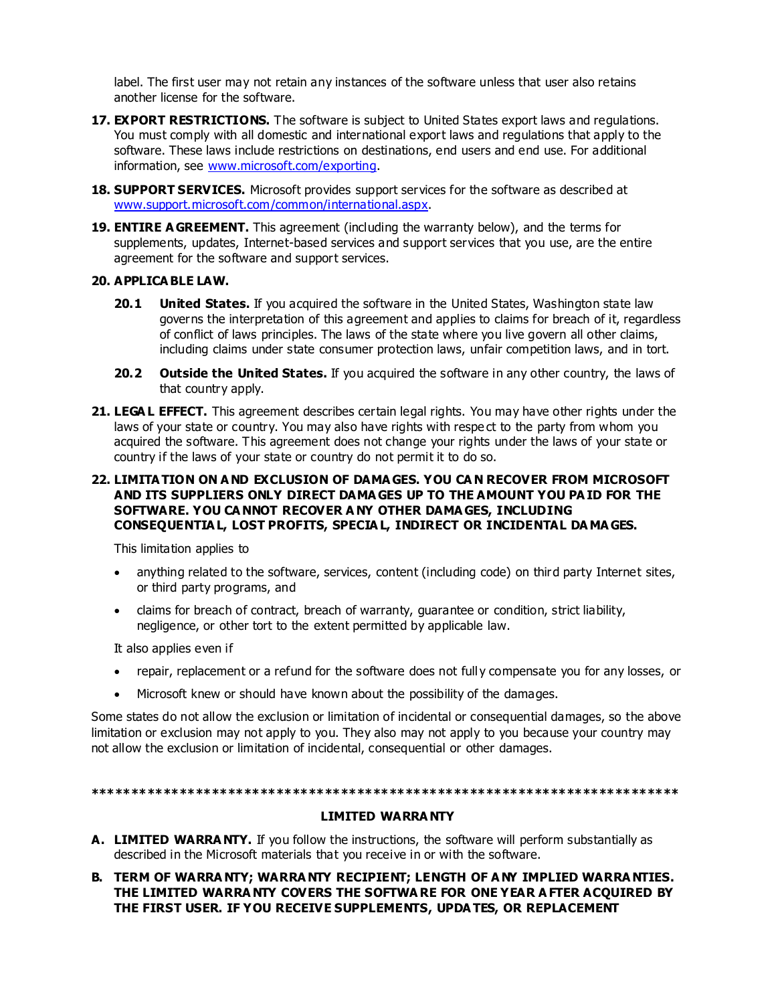label. The first user may not retain any instances of the software unless that user also retains another license for the software.

- 17. **EXPORT RESTRICTIONS.** The software is subject to United States export laws and regulations. You must comply with all domestic and international export laws and regulations that apply to the software. These laws include restrictions on destinations, end users and end use. For additional information, see www.microsoft.com/exporting.
- **18. SUPPORT SERVICES.** Microsoft provides support services for the software as described at www.support.microsoft.com/common/international.aspx.
- **19. ENTIRE A GREEMENT.** This agreement (including the warranty below), and the terms for supplements, updates, Internet-based services and support services that you use, are the entire agreement for the software and support services.

## **20. APPLICA BLE LAW.**

- **20.1 United States.** If you acquired the software in the United States, Washington state law governs the interpretation of this agreement and applies to claims for breach of it, regardless of conflict of laws principles. The laws of the state where you live govern all other claims, including claims under state consumer protection laws, unfair competition laws, and in tort.
- **20.2 Outside the United States.** If you acquired the software in any other country, the laws of that country apply.
- **21. LEGA L EFFECT.** This agreement describes certain legal rights. You may have other rights under the laws of your state or country. You may also have rights with respe ct to the party from whom you acquired the software. This agreement does not change your rights under the laws of your state or country if the laws of your state or country do not permit it to do so.

# **22. LIMITA TION ON A ND EXCLUSION OF DAMA GES. YOU CA N RECOVER FROM MICROSOFT AND ITS SUPPLIERS ONLY DIRECT DAMA GES UP TO THE AMOUNT YOU PA ID FOR THE SOFTWARE. YOU CA NNOT RECOVER A NY OTHER DAMA GES, INCLUDING CONSEQUENTIA L, LOST PROFITS, SPECIA L, INDIRECT OR INCIDENTAL DA MA GES.**

This limitation applies to

- anything related to the software, services, content (including code) on third party Internet sites, or third party programs, and
- claims for breach of contract, breach of warranty, guarantee or condition, strict liability, negligence, or other tort to the extent permitted by applicable law.

It also applies even if

- repair, replacement or a refund for the software does not full y compensate you for any losses, or
- Microsoft knew or should have known about the possibility of the damages.

Some states do not allow the exclusion or limitation of incidental or consequential damages, so the above limitation or exclusion may not apply to you. They also may not apply to you because your country may not allow the exclusion or limitation of incidental, consequential or other damages.

#### **\*\*\*\*\*\*\*\*\*\*\*\*\*\*\*\*\*\*\*\*\*\*\*\*\*\*\*\*\*\*\*\*\*\*\*\*\*\*\*\*\*\*\*\*\*\*\*\*\*\*\*\*\*\*\*\*\*\*\*\*\*\*\*\*\*\*\*\*\*\*\*\*\***

#### **LIMITED WARRA NTY**

- **A. LIMITED WARRA NTY.** If you follow the instructions, the software will perform substantially as described in the Microsoft materials that you receive in or with the software.
- **B. TERM OF WARRA NTY; WARRA NTY RECIPIENT; LENGTH OF A NY IMPLIED WARRA NTIES. THE LIMITED WARRA NTY COVERS THE SOFTWA RE FOR ONE YEAR A FTER ACQUIRED BY THE FIRST USER. IF YOU RECEIVE SUPPLEMENTS, UPDA TES, OR REPLACEMENT**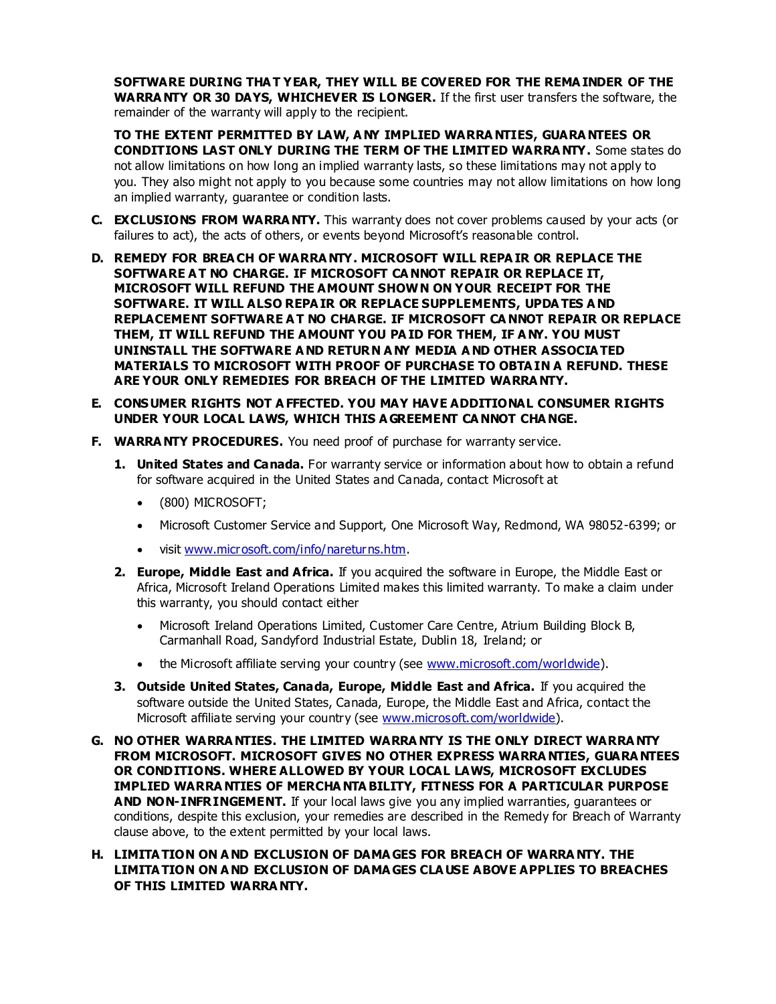**SOFTWARE DURING THA T YEAR, THEY WILL BE COVERED FOR THE REMA INDER OF THE WARRA NTY OR 30 DAYS, WHICHEVER IS LONGER.** If the first user transfers the software, the remainder of the warranty will apply to the recipient.

**TO THE EXTENT PERMITTED BY LAW, A NY IMPLIED WARRA NTIES, GUARA NTEES OR CONDITIONS LAST ONLY DURING THE TERM OF THE LIMITED WARRA NTY.** Some states do not allow limitations on how long an implied warranty lasts, so these limitations may not apply to you. They also might not apply to you because some countries may not allow limitations on how long an implied warranty, guarantee or condition lasts.

- **C. EXCLUSIONS FROM WARRA NTY.** This warranty does not cover problems caused by your acts (or failures to act), the acts of others, or events beyond Microsoft's reasonable control.
- **D. REMEDY FOR BREA CH OF WARRA NTY. MICROSOFT WILL REPA IR OR REPLACE THE SOFTWARE A T NO CHARGE. IF MICROSOFT CA NNOT REPAIR OR REPLACE IT, MICROSOFT WILL REFUND THE AMOUNT SHOWN ON YOUR RECEIPT FOR THE SOFTWARE. IT WILL ALSO REPA IR OR REPLACE SUPPLEMENTS, UPDA TES A ND REPLACEMENT SOFTWARE A T NO CHARGE. IF MICROSOFT CA NNOT REPAIR OR REPLACE THEM, IT WILL REFUND THE AMOUNT YOU PA ID FOR THEM, IF A NY. YOU MUST UNINSTALL THE SOFTWARE A ND RETURN A NY MEDIA A ND OTHER ASSOCIA TED MATERIALS TO MICROSOFT WITH PROOF OF PURCHASE TO OBTA IN A REFUND. THESE ARE YOUR ONLY REMEDIES FOR BREACH OF THE LIMITED WARRA NTY.**
- **E. CONSUMER RIGHTS NOT A FFECTED. YOU MAY HAVE ADDITIONAL CONSUMER RIGHTS UNDER YOUR LOCAL LAWS, WHICH THIS A GREEMENT CA NNOT CHA NGE.**
- **F. WARRA NTY PROCEDURES.** You need proof of purchase for warranty service.
	- **1. United States and Canada.** For warranty service or information about how to obtain a refund for software acquired in the United States and Canada, contact Microsoft at
		- (800) MICROSOFT;
		- Microsoft Customer Service and Support, One Microsoft Way, Redmond, WA 98052-6399; or
		- visit www.microsoft.com/info/nareturns.htm.
	- **2. Europe, Middle East and Africa.** If you acquired the software in Europe, the Middle East or Africa, Microsoft Ireland Operations Limited makes this limited warranty. To make a claim under this warranty, you should contact either
		- Microsoft Ireland Operations Limited, Customer Care Centre, Atrium Building Block B, Carmanhall Road, Sandyford Industrial Estate, Dublin 18, Ireland; or
		- the Microsoft affiliate serving your country (see www.microsoft.com/worldwide).
	- **3. Outside United States, Canada, Europe, Middle East and Africa.** If you acquired the software outside the United States, Canada, Europe, the Middle East and Africa, contact the Microsoft affiliate serving your country (see www.microsoft.com/worldwide).
- **G. NO OTHER WARRA NTIES. THE LIMITED WARRA NTY IS THE ONLY DIRECT WARRA NTY FROM MICROSOFT. MICROSOFT GIVES NO OTHER EXPRESS WARRA NTIES, GUARA NTEES OR CONDITIONS. WHERE ALLOWED BY YOUR LOCAL LAWS, MICROSOFT EXCLUDES IMPLIED WARRA NTIES OF MERCHA NTA BILITY, FITNESS FOR A PARTICULAR PURPOSE AND NON-INFRINGEMENT.** If your local laws give you any implied warranties, guarantees or conditions, despite this exclusion, your remedies are described in the Remedy for Breach of Warranty clause above, to the extent permitted by your local laws.
- **H. LIMITA TION ON A ND EXCLUSION OF DAMA GES FOR BREACH OF WARRA NTY. THE LIMITA TION ON A ND EXCLUSION OF DAMA GES CLA USE ABOVE APPLIES TO BREACHES OF THIS LIMITED WARRA NTY.**